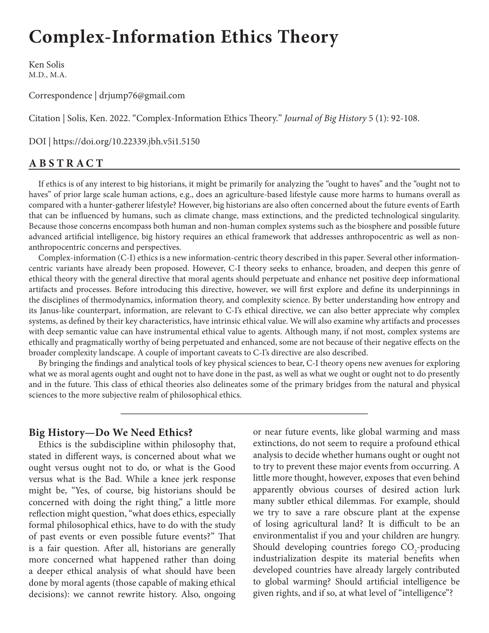# **Complex-Information Ethics Theory**

Ken Solis M.D., M.A.

Correspondence | drjump76@gmail.com

Citation | Solis, Ken. 2022. "Complex-Information Ethics Theory." *Journal of Big History* 5 (1): 92-108.

DOI | https://doi.org/10.22339.jbh.v5i1.5150

## **ABSTRACT**

If ethics is of any interest to big historians, it might be primarily for analyzing the "ought to haves" and the "ought not to haves" of prior large scale human actions, e.g., does an agriculture-based lifestyle cause more harms to humans overall as compared with a hunter-gatherer lifestyle? However, big historians are also often concerned about the future events of Earth that can be influenced by humans, such as climate change, mass extinctions, and the predicted technological singularity. Because those concerns encompass both human and non-human complex systems such as the biosphere and possible future advanced artificial intelligence, big history requires an ethical framework that addresses anthropocentric as well as nonanthropocentric concerns and perspectives.

Complex-information (C-I) ethics is a new information-centric theory described in this paper. Several other informationcentric variants have already been proposed. However, C-I theory seeks to enhance, broaden, and deepen this genre of ethical theory with the general directive that moral agents should perpetuate and enhance net positive deep informational artifacts and processes. Before introducing this directive, however, we will first explore and define its underpinnings in the disciplines of thermodynamics, information theory, and complexity science. By better understanding how entropy and its Janus-like counterpart, information, are relevant to C-I's ethical directive, we can also better appreciate why complex systems, as defined by their key characteristics, have intrinsic ethical value. We will also examine why artifacts and processes with deep semantic value can have instrumental ethical value to agents. Although many, if not most, complex systems are ethically and pragmatically worthy of being perpetuated and enhanced, some are not because of their negative effects on the broader complexity landscape. A couple of important caveats to C-I's directive are also described.

By bringing the findings and analytical tools of key physical sciences to bear, C-I theory opens new avenues for exploring what we as moral agents ought and ought not to have done in the past, as well as what we ought or ought not to do presently and in the future. This class of ethical theories also delineates some of the primary bridges from the natural and physical sciences to the more subjective realm of philosophical ethics.

#### **Big History—Do We Need Ethics?**

Ethics is the subdiscipline within philosophy that, stated in different ways, is concerned about what we ought versus ought not to do, or what is the Good versus what is the Bad. While a knee jerk response might be, "Yes, of course, big historians should be concerned with doing the right thing," a little more reflection might question, "what does ethics, especially formal philosophical ethics, have to do with the study of past events or even possible future events?" That is a fair question. After all, historians are generally more concerned what happened rather than doing a deeper ethical analysis of what should have been done by moral agents (those capable of making ethical decisions): we cannot rewrite history. Also, ongoing

or near future events, like global warming and mass extinctions, do not seem to require a profound ethical analysis to decide whether humans ought or ought not to try to prevent these major events from occurring. A little more thought, however, exposes that even behind apparently obvious courses of desired action lurk many subtler ethical dilemmas. For example, should we try to save a rare obscure plant at the expense of losing agricultural land? It is difficult to be an environmentalist if you and your children are hungry. Should developing countries forego  $CO_2$ -producing industrialization despite its material benefits when developed countries have already largely contributed to global warming? Should artificial intelligence be given rights, and if so, at what level of "intelligence"?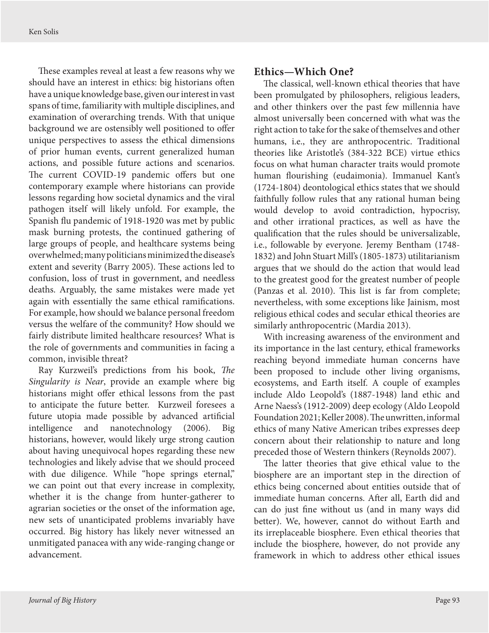These examples reveal at least a few reasons why we should have an interest in ethics: big historians often have a unique knowledge base, given our interest in vast spans of time, familiarity with multiple disciplines, and examination of overarching trends. With that unique background we are ostensibly well positioned to offer unique perspectives to assess the ethical dimensions of prior human events, current generalized human actions, and possible future actions and scenarios. The current COVID-19 pandemic offers but one contemporary example where historians can provide lessons regarding how societal dynamics and the viral pathogen itself will likely unfold. For example, the Spanish flu pandemic of 1918-1920 was met by public mask burning protests, the continued gathering of large groups of people, and healthcare systems being overwhelmed; many politicians minimized the disease's extent and severity (Barry 2005). These actions led to confusion, loss of trust in government, and needless deaths. Arguably, the same mistakes were made yet again with essentially the same ethical ramifications. For example, how should we balance personal freedom versus the welfare of the community? How should we fairly distribute limited healthcare resources? What is the role of governments and communities in facing a common, invisible threat?

Ray Kurzweil's predictions from his book, *The Singularity is Near*, provide an example where big historians might offer ethical lessons from the past to anticipate the future better. Kurzweil foresees a future utopia made possible by advanced artificial intelligence and nanotechnology (2006). Big historians, however, would likely urge strong caution about having unequivocal hopes regarding these new technologies and likely advise that we should proceed with due diligence. While "hope springs eternal," we can point out that every increase in complexity, whether it is the change from hunter-gatherer to agrarian societies or the onset of the information age, new sets of unanticipated problems invariably have occurred. Big history has likely never witnessed an unmitigated panacea with any wide-ranging change or advancement.

#### **Ethics—Which One?**

The classical, well-known ethical theories that have been promulgated by philosophers, religious leaders, and other thinkers over the past few millennia have almost universally been concerned with what was the right action to take for the sake of themselves and other humans, i.e., they are anthropocentric. Traditional theories like Aristotle's (384-322 BCE) virtue ethics focus on what human character traits would promote human flourishing (eudaimonia). Immanuel Kant's (1724-1804) deontological ethics states that we should faithfully follow rules that any rational human being would develop to avoid contradiction, hypocrisy, and other irrational practices, as well as have the qualification that the rules should be universalizable, i.e., followable by everyone. Jeremy Bentham (1748- 1832) and John Stuart Mill's (1805-1873) utilitarianism argues that we should do the action that would lead to the greatest good for the greatest number of people (Panzas et al. 2010). This list is far from complete; nevertheless, with some exceptions like Jainism, most religious ethical codes and secular ethical theories are similarly anthropocentric (Mardia 2013).

With increasing awareness of the environment and its importance in the last century, ethical frameworks reaching beyond immediate human concerns have been proposed to include other living organisms, ecosystems, and Earth itself. A couple of examples include Aldo Leopold's (1887-1948) land ethic and Arne Naess's (1912-2009) deep ecology (Aldo Leopold Foundation 2021; Keller 2008). The unwritten, informal ethics of many Native American tribes expresses deep concern about their relationship to nature and long preceded those of Western thinkers (Reynolds 2007).

The latter theories that give ethical value to the biosphere are an important step in the direction of ethics being concerned about entities outside that of immediate human concerns. After all, Earth did and can do just fine without us (and in many ways did better). We, however, cannot do without Earth and its irreplaceable biosphere. Even ethical theories that include the biosphere, however, do not provide any framework in which to address other ethical issues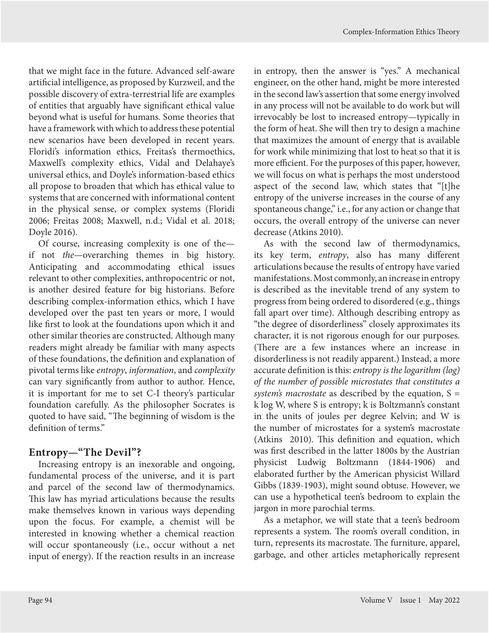that we might face in the future. Advanced self-aware artificial intelligence, as proposed by Kurzweil, and the possible discovery of extra-terrestrial life are examples of entities that arguably have significant ethical value beyond what is useful for humans. Some theories that have a framework with which to address these potential new scenarios have been developed in recent years. Floridi's information ethics, Freitas's thermoethics, Maxwell's complexity ethics, Vidal and Delahaye's universal ethics, and Doyle's information-based ethics all propose to broaden that which has ethical value to systems that are concerned with informational content in the physical sense, or complex systems (Floridi 2006; Freitas 2008; Maxwell, n.d.; Vidal et al. 2018; Doyle 2016).

Of course, increasing complexity is one of the if not *the*—overarching themes in big history. Anticipating and accommodating ethical issues relevant to other complexities, anthropocentric or not, is another desired feature for big historians. Before describing complex-information ethics, which I have developed over the past ten years or more, I would like first to look at the foundations upon which it and other similar theories are constructed. Although many readers might already be familiar with many aspects of these foundations, the definition and explanation of pivotal terms like *entropy*, *information*, and *complexity* can vary significantly from author to author. Hence, it is important for me to set C-I theory's particular foundation carefully. As the philosopher Socrates is quoted to have said, "The beginning of wisdom is the definition of terms."

## **Entropy—"The Devil"?**

Increasing entropy is an inexorable and ongoing, fundamental process of the universe, and it is part and parcel of the second law of thermodynamics. This law has myriad articulations because the results make themselves known in various ways depending upon the focus. For example, a chemist will be interested in knowing whether a chemical reaction will occur spontaneously (i.e., occur without a net input of energy). If the reaction results in an increase

in entropy, then the answer is "yes." A mechanical engineer, on the other hand, might be more interested in the second law's assertion that some energy involved in any process will not be available to do work but will irrevocably be lost to increased entropy—typically in the form of heat. She will then try to design a machine that maximizes the amount of energy that is available for work while minimizing that lost to heat so that it is more efficient. For the purposes of this paper, however, we will focus on what is perhaps the most understood aspect of the second law, which states that "[t]he entropy of the universe increases in the course of any spontaneous change," i.e., for any action or change that occurs, the overall entropy of the universe can never decrease (Atkins 2010).

As with the second law of thermodynamics, its key term, *entropy*, also has many different articulations because the results of entropy have varied manifestations. Most commonly, an increase in entropy is described as the inevitable trend of any system to progress from being ordered to disordered (e.g., things fall apart over time). Although describing entropy as "the degree of disorderliness" closely approximates its character, it is not rigorous enough for our purposes. (There are a few instances where an increase in disorderliness is not readily apparent.) Instead, a more accurate definition is this: *entropy is the logarithm (log) of the number of possible microstates that constitutes a system's macrostate* as described by the equation, S = k log W, where S is entropy; k is Boltzmann's constant in the units of joules per degree Kelvin; and W is the number of microstates for a system's macrostate (Atkins 2010). This definition and equation, which was first described in the latter 1800s by the Austrian physicist Ludwig Boltzmann (1844-1906) and elaborated further by the American physicist Willard Gibbs (1839-1903), might sound obtuse. However, we can use a hypothetical teen's bedroom to explain the jargon in more parochial terms.

As a metaphor, we will state that a teen's bedroom represents a system. The room's overall condition, in turn, represents its macrostate. The furniture, apparel, garbage, and other articles metaphorically represent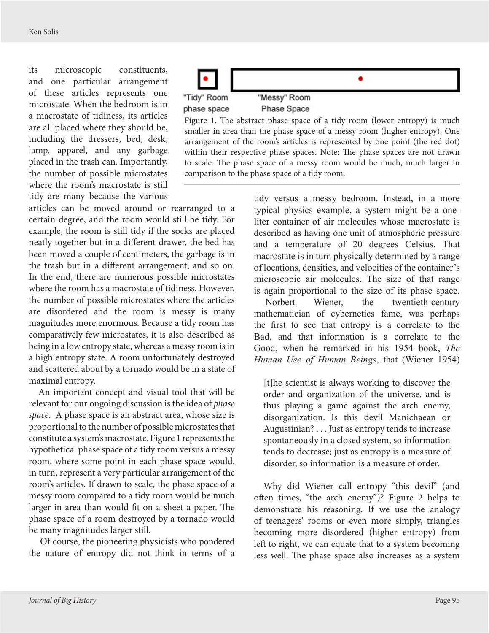its microscopic constituents, and one particular arrangement of these articles represents one microstate. When the bedroom is in a macrostate of tidiness, its articles are all placed where they should be, including the dressers, bed, desk, lamp, apparel, and any garbage placed in the trash can. Importantly, the number of possible microstates where the room's macrostate is still tidy are many because the various



Figure 1. The abstract phase space of a tidy room (lower entropy) is much smaller in area than the phase space of a messy room (higher entropy). One arrangement of the room's articles is represented by one point (the red dot) within their respective phase spaces. Note: The phase spaces are not drawn to scale. The phase space of a messy room would be much, much larger in comparison to the phase space of a tidy room.

articles can be moved around or rearranged to a certain degree, and the room would still be tidy. For example, the room is still tidy if the socks are placed neatly together but in a different drawer, the bed has been moved a couple of centimeters, the garbage is in the trash but in a different arrangement, and so on. In the end, there are numerous possible microstates where the room has a macrostate of tidiness. However, the number of possible microstates where the articles are disordered and the room is messy is many magnitudes more enormous. Because a tidy room has comparatively few microstates, it is also described as being in a low entropy state, whereas a messy room is in a high entropy state. A room unfortunately destroyed and scattered about by a tornado would be in a state of maximal entropy.

An important concept and visual tool that will be relevant for our ongoing discussion is the idea of *phase space*. A phase space is an abstract area, whose size is proportional to the number of possible microstates that constitute a system's macrostate. Figure 1 represents the hypothetical phase space of a tidy room versus a messy room, where some point in each phase space would, in turn, represent a very particular arrangement of the room's articles. If drawn to scale, the phase space of a messy room compared to a tidy room would be much larger in area than would fit on a sheet a paper. The phase space of a room destroyed by a tornado would be many magnitudes larger still.

Of course, the pioneering physicists who pondered the nature of entropy did not think in terms of a

tidy versus a messy bedroom. Instead, in a more typical physics example, a system might be a oneliter container of air molecules whose macrostate is described as having one unit of atmospheric pressure and a temperature of 20 degrees Celsius. That macrostate is in turn physically determined by a range of locations, densities, and velocities of the container's microscopic air molecules. The size of that range is again proportional to the size of its phase space.

Norbert Wiener, the twentieth-century mathematician of cybernetics fame, was perhaps the first to see that entropy is a correlate to the Bad, and that information is a correlate to the Good, when he remarked in his 1954 book, *The Human Use of Human Beings*, that (Wiener 1954)

[t]he scientist is always working to discover the order and organization of the universe, and is thus playing a game against the arch enemy, disorganization. Is this devil Manichaean or Augustinian? . . . Just as entropy tends to increase spontaneously in a closed system, so information tends to decrease; just as entropy is a measure of disorder, so information is a measure of order.

Why did Wiener call entropy "this devil" (and often times, "the arch enemy")? Figure 2 helps to demonstrate his reasoning. If we use the analogy of teenagers' rooms or even more simply, triangles becoming more disordered (higher entropy) from left to right, we can equate that to a system becoming less well. The phase space also increases as a system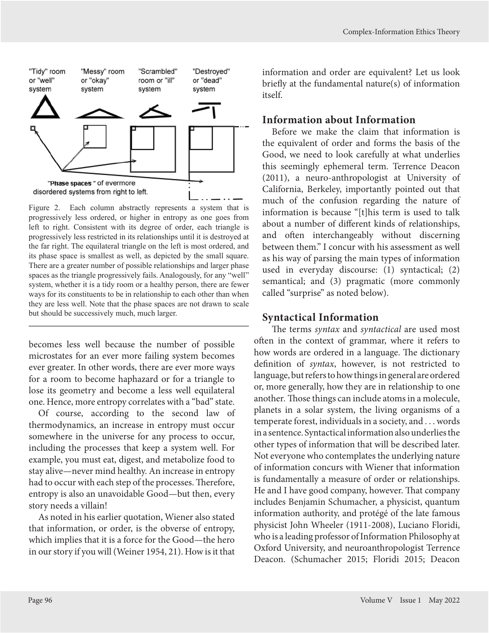

Figure 2. Each column abstractly represents a system that is progressively less ordered, or higher in entropy as one goes from left to right. Consistent with its degree of order, each triangle is progressively less restricted in its relationships until it is destroyed at the far right. The equilateral triangle on the left is most ordered, and its phase space is smallest as well, as depicted by the small square. There are a greater number of possible relationships and larger phase spaces as the triangle progressively fails. Analogously, for any "well" system, whether it is a tidy room or a healthy person, there are fewer ways for its constituents to be in relationship to each other than when they are less well. Note that the phase spaces are not drawn to scale but should be successively much, much larger.

becomes less well because the number of possible microstates for an ever more failing system becomes ever greater. In other words, there are ever more ways for a room to become haphazard or for a triangle to lose its geometry and become a less well equilateral one. Hence, more entropy correlates with a "bad" state.

Of course, according to the second law of thermodynamics, an increase in entropy must occur somewhere in the universe for any process to occur, including the processes that keep a system well. For example, you must eat, digest, and metabolize food to stay alive—never mind healthy. An increase in entropy had to occur with each step of the processes. Therefore, entropy is also an unavoidable Good—but then, every story needs a villain!

As noted in his earlier quotation, Wiener also stated that information, or order, is the obverse of entropy, which implies that it is a force for the Good—the hero in our story if you will (Weiner 1954, 21). How is it that information and order are equivalent? Let us look briefly at the fundamental nature(s) of information itself.

#### **Information about Information**

Before we make the claim that information is the equivalent of order and forms the basis of the Good, we need to look carefully at what underlies this seemingly ephemeral term. Terrence Deacon (2011), a neuro-anthropologist at University of California, Berkeley, importantly pointed out that much of the confusion regarding the nature of information is because "[t]his term is used to talk about a number of different kinds of relationships, and often interchangeably without discerning between them." I concur with his assessment as well as his way of parsing the main types of information used in everyday discourse: (1) syntactical; (2) semantical; and (3) pragmatic (more commonly called "surprise" as noted below).

#### **Syntactical Information**

The terms *syntax* and *syntactical* are used most often in the context of grammar, where it refers to how words are ordered in a language. The dictionary definition of *syntax*, however, is not restricted to language, but refers to how things in general are ordered or, more generally, how they are in relationship to one another*.* Those things can include atoms in a molecule, planets in a solar system, the living organisms of a temperate forest, individuals in a society, and . . . words in a sentence. Syntactical information also underlies the other types of information that will be described later. Not everyone who contemplates the underlying nature of information concurs with Wiener that information is fundamentally a measure of order or relationships. He and I have good company, however. That company includes Benjamin Schumacher, a physicist, quantum information authority, and protégé of the late famous physicist John Wheeler (1911-2008), Luciano Floridi, who is a leading professor of Information Philosophy at Oxford University, and neuroanthropologist Terrence Deacon. (Schumacher 2015; Floridi 2015; Deacon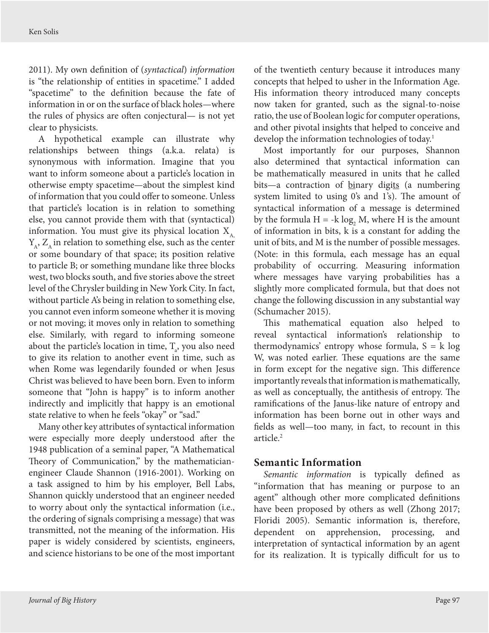<span id="page-5-0"></span>2011). My own definition of (*syntactical*) *information* is "the relationship of entities in spacetime." I added "spacetime" to the definition because the fate of information in or on the surface of black holes—where the rules of physics are often conjectural— is not yet clear to physicists.

A hypothetical example can illustrate why relationships between things (a.k.a. relata) is synonymous with information. Imagine that you want to inform someone about a particle's location in otherwise empty spacetime—about the simplest kind of information that you could offer to someone. Unless that particle's location is in relation to something else, you cannot provide them with that (syntactical) information. You must give its physical location  $X_{\mu}$  $Y_{\alpha}$ ,  $Z_{\alpha}$  in relation to something else, such as the center or some boundary of that space; its position relative to particle B; or something mundane like three blocks west, two blocks south, and five stories above the street level of the Chrysler building in New York City. In fact, without particle A's being in relation to something else, you cannot even inform someone whether it is moving or not moving; it moves only in relation to something else. Similarly, with regard to informing someone about the particle's location in time,  $T_{a}$ , you also need to give its relation to another event in time, such as when Rome was legendarily founded or when Jesus Christ was believed to have been born. Even to inform someone that "John is happy" is to inform another indirectly and implicitly that happy is an emotional state relative to when he feels "okay" or "sad."

Many other key attributes of syntactical information were especially more deeply understood after the 1948 publication of a seminal paper, "A Mathematical Theory of Communication," by the mathematicianengineer Claude Shannon (1916-2001). Working on a task assigned to him by his employer, Bell Labs, Shannon quickly understood that an engineer needed to worry about only the syntactical information (i.e., the ordering of signals comprising a message) that was transmitted, not the meaning of the information. His paper is widely considered by scientists, engineers, and science historians to be one of the most important

of the twentieth century because it introduces many concepts that helped to usher in the Information Age. His information theory introduced many concepts now taken for granted, such as the signal-to-noise ratio, the use of Boolean logic for computer operations, and other pivotal insights that helped to conceive and develop the information technologies of today.<sup>[1](#page-14-0)</sup>

Most importantly for our purposes, Shannon also determined that syntactical information can be mathematically measured in units that he called bits—a contraction of binary digits (a numbering system limited to using 0's and 1's). The amount of syntactical information of a message is determined by the formula  $H = -k \log_2 M$ , where H is the amount of information in bits, k is a constant for adding the unit of bits, and M is the number of possible messages. (Note: in this formula, each message has an equal probability of occurring. Measuring information where messages have varying probabilities has a slightly more complicated formula, but that does not change the following discussion in any substantial way (Schumacher 2015).

This mathematical equation also helped to reveal syntactical information's relationship to thermodynamics' entropy whose formula,  $S = k \log$ W, was noted earlier. These equations are the same in form except for the negative sign. This difference importantly reveals that information is mathematically, as well as conceptually, the antithesis of entropy. The ramifications of the Janus-like nature of entropy and information has been borne out in other ways and fields as well—too many, in fact, to recount in this article.<sup>2</sup>

## **Semantic Information**

*Semantic information* is typically defined as "information that has meaning or purpose to an agent" although other more complicated definitions have been proposed by others as well (Zhong 2017; Floridi 2005). Semantic information is, therefore, dependent on apprehension, processing, and interpretation of syntactical information by an agent for its realization. It is typically difficult for us to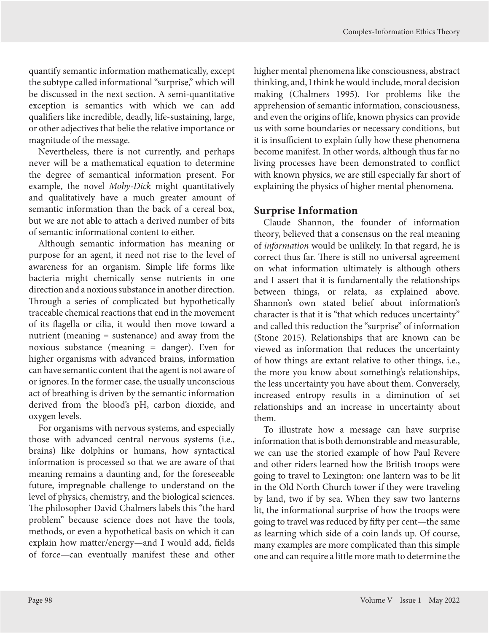quantify semantic information mathematically, except the subtype called informational "surprise," which will be discussed in the next section. A semi*-*quantitative exception is semantics with which we can add qualifiers like incredible, deadly, life-sustaining, large, or other adjectives that belie the relative importance or magnitude of the message.

Nevertheless, there is not currently, and perhaps never will be a mathematical equation to determine the degree of semantical information present. For example, the novel *Moby-Dick* might quantitatively and qualitatively have a much greater amount of semantic information than the back of a cereal box, but we are not able to attach a derived number of bits of semantic informational content to either.

Although semantic information has meaning or purpose for an agent, it need not rise to the level of awareness for an organism. Simple life forms like bacteria might chemically sense nutrients in one direction and a noxious substance in another direction. Through a series of complicated but hypothetically traceable chemical reactions that end in the movement of its flagella or cilia, it would then move toward a nutrient (meaning = sustenance) and away from the noxious substance (meaning = danger). Even for higher organisms with advanced brains, information can have semantic content that the agent is not aware of or ignores. In the former case, the usually unconscious act of breathing is driven by the semantic information derived from the blood's pH, carbon dioxide, and oxygen levels.

For organisms with nervous systems, and especially those with advanced central nervous systems (i.e., brains) like dolphins or humans, how syntactical information is processed so that we are aware of that meaning remains a daunting and, for the foreseeable future, impregnable challenge to understand on the level of physics, chemistry, and the biological sciences. The philosopher David Chalmers labels this "the hard problem" because science does not have the tools, methods, or even a hypothetical basis on which it can explain how matter/energy—and I would add, fields of force—can eventually manifest these and other

higher mental phenomena like consciousness, abstract thinking, and, I think he would include, moral decision making (Chalmers 1995). For problems like the apprehension of semantic information, consciousness, and even the origins of life, known physics can provide us with some boundaries or necessary conditions, but it is insufficient to explain fully how these phenomena become manifest. In other words, although thus far no living processes have been demonstrated to conflict with known physics, we are still especially far short of explaining the physics of higher mental phenomena.

## **Surprise Information**

Claude Shannon, the founder of information theory, believed that a consensus on the real meaning of *information* would be unlikely. In that regard, he is correct thus far. There is still no universal agreement on what information ultimately is although others and I assert that it is fundamentally the relationships between things, or relata, as explained above. Shannon's own stated belief about information's character is that it is "that which reduces uncertainty" and called this reduction the "surprise" of information (Stone 2015). Relationships that are known can be viewed as information that reduces the uncertainty of how things are extant relative to other things, i.e., the more you know about something's relationships, the less uncertainty you have about them. Conversely, increased entropy results in a diminution of set relationships and an increase in uncertainty about them.

To illustrate how a message can have surprise information that is both demonstrable and measurable, we can use the storied example of how Paul Revere and other riders learned how the British troops were going to travel to Lexington: one lantern was to be lit in the Old North Church tower if they were traveling by land, two if by sea. When they saw two lanterns lit, the informational surprise of how the troops were going to travel was reduced by fifty per cent—the same as learning which side of a coin lands up. Of course, many examples are more complicated than this simple one and can require a little more math to determine the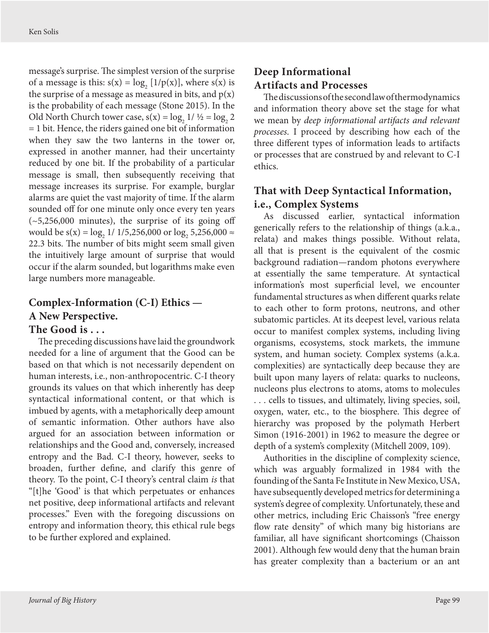message's surprise. The simplest version of the surprise of a message is this:  $s(x) = log_2 [1/p(x)]$ , where  $s(x)$  is the surprise of a message as measured in bits, and  $p(x)$ is the probability of each message (Stone 2015). In the Old North Church tower case,  $s(x) = log_2 1 / \frac{1}{2} = log_2 2$ = 1 bit. Hence, the riders gained one bit of information when they saw the two lanterns in the tower or, expressed in another manner, had their uncertainty reduced by one bit. If the probability of a particular message is small, then subsequently receiving that message increases its surprise. For example, burglar alarms are quiet the vast majority of time. If the alarm sounded off for one minute only once every ten years  $(-5,256,000$  minutes), the surprise of its going off would be s(x) =  $\log_2 1/1/5$ ,256,000 or  $\log_2 5$ ,256,000  $\approx$ 22.3 bits. The number of bits might seem small given the intuitively large amount of surprise that would occur if the alarm sounded, but logarithms make even large numbers more manageable.

# **Complex-Information (C-I) Ethics — A New Perspective.**

#### **The Good is . . .**

The preceding discussions have laid the groundwork needed for a line of argument that the Good can be based on that which is not necessarily dependent on human interests, i.e., non-anthropocentric. C-I theory grounds its values on that which inherently has deep syntactical informational content, or that which is imbued by agents, with a metaphorically deep amount of semantic information. Other authors have also argued for an association between information or relationships and the Good and, conversely, increased entropy and the Bad. C-I theory, however, seeks to broaden, further define, and clarify this genre of theory. To the point, C-I theory's central claim *is* that "[t]he 'Good' is that which perpetuates or enhances net positive, deep informational artifacts and relevant processes." Even with the foregoing discussions on entropy and information theory, this ethical rule begs to be further explored and explained.

## **Deep Informational Artifacts and Processes**

The discussions of the second law of thermodynamics and information theory above set the stage for what we mean by *deep informational artifacts and relevant processes*. I proceed by describing how each of the three different types of information leads to artifacts or processes that are construed by and relevant to C-I ethics.

## **That with Deep Syntactical Information, i.e., Complex Systems**

As discussed earlier, syntactical information generically refers to the relationship of things (a.k.a., relata) and makes things possible. Without relata, all that is present is the equivalent of the cosmic background radiation—random photons everywhere at essentially the same temperature. At syntactical information's most superficial level, we encounter fundamental structures as when different quarks relate to each other to form protons, neutrons, and other subatomic particles. At its deepest level, various relata occur to manifest complex systems, including living organisms, ecosystems, stock markets, the immune system, and human society. Complex systems (a.k.a. complexities) are syntactically deep because they are built upon many layers of relata: quarks to nucleons, nucleons plus electrons to atoms, atoms to molecules . . . cells to tissues, and ultimately, living species, soil, oxygen, water, etc., to the biosphere. This degree of hierarchy was proposed by the polymath Herbert Simon (1916-2001) in 1962 to measure the degree or depth of a system's complexity (Mitchell 2009, 109).

Authorities in the discipline of complexity science, which was arguably formalized in 1984 with the founding of the Santa Fe Institute in New Mexico, USA, have subsequently developed metrics for determining a system's degree of complexity. Unfortunately, these and other metrics, including Eric Chaisson's "free energy flow rate density" of which many big historians are familiar, all have significant shortcomings (Chaisson 2001). Although few would deny that the human brain has greater complexity than a bacterium or an ant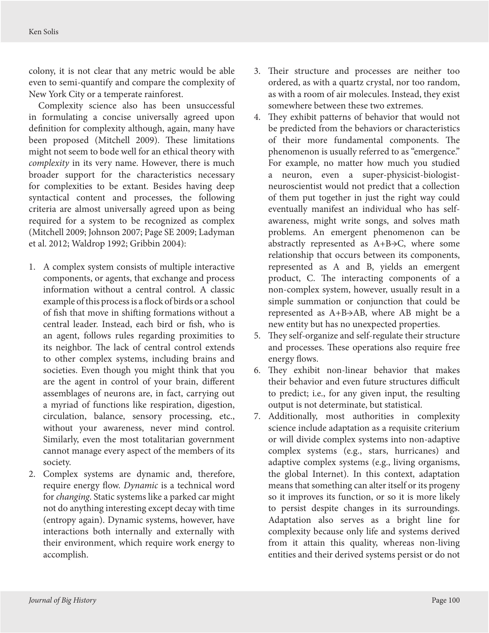colony, it is not clear that any metric would be able even to semi-quantify and compare the complexity of New York City or a temperate rainforest.

Complexity science also has been unsuccessful in formulating a concise universally agreed upon definition for complexity although, again, many have been proposed (Mitchell 2009). These limitations might not seem to bode well for an ethical theory with *complexity* in its very name. However, there is much broader support for the characteristics necessary for complexities to be extant. Besides having deep syntactical content and processes, the following criteria are almost universally agreed upon as being required for a system to be recognized as complex (Mitchell 2009; Johnson 2007; Page SE 2009; Ladyman et al. 2012; Waldrop 1992; Gribbin 2004):

- 1. A complex system consists of multiple interactive components, or agents, that exchange and process information without a central control. A classic example of this process is a flock of birds or a school of fish that move in shifting formations without a central leader. Instead, each bird or fish, who is an agent, follows rules regarding proximities to its neighbor. The lack of central control extends to other complex systems, including brains and societies. Even though you might think that you are the agent in control of your brain, different assemblages of neurons are, in fact, carrying out a myriad of functions like respiration, digestion, circulation, balance, sensory processing, etc., without your awareness, never mind control. Similarly, even the most totalitarian government cannot manage every aspect of the members of its society.
- 2. Complex systems are dynamic and, therefore, require energy flow. *Dynamic* is a technical word for *changing*. Static systems like a parked car might not do anything interesting except decay with time (entropy again). Dynamic systems, however, have interactions both internally and externally with their environment, which require work energy to accomplish.
- 3. Their structure and processes are neither too ordered, as with a quartz crystal, nor too random, as with a room of air molecules. Instead, they exist somewhere between these two extremes.
- 4. They exhibit patterns of behavior that would not be predicted from the behaviors or characteristics of their more fundamental components. The phenomenon is usually referred to as "emergence." For example, no matter how much you studied a neuron, even a super-physicist-biologistneuroscientist would not predict that a collection of them put together in just the right way could eventually manifest an individual who has selfawareness, might write songs, and solves math problems. An emergent phenomenon can be abstractly represented as A+B→C, where some relationship that occurs between its components, represented as A and B, yields an emergent product, C. The interacting components of a non-complex system, however, usually result in a simple summation or conjunction that could be represented as A+B→AB, where AB might be a new entity but has no unexpected properties.
- 5. They self-organize and self-regulate their structure and processes. These operations also require free energy flows.
- 6. They exhibit non-linear behavior that makes their behavior and even future structures difficult to predict; i.e., for any given input, the resulting output is not determinate, but statistical.
- 7. Additionally, most authorities in complexity science include adaptation as a requisite criterium or will divide complex systems into non-adaptive complex systems (e.g., stars, hurricanes) and adaptive complex systems (e.g., living organisms, the global Internet). In this context, adaptation means that something can alter itself or its progeny so it improves its function, or so it is more likely to persist despite changes in its surroundings. Adaptation also serves as a bright line for complexity because only life and systems derived from it attain this quality, whereas non-living entities and their derived systems persist or do not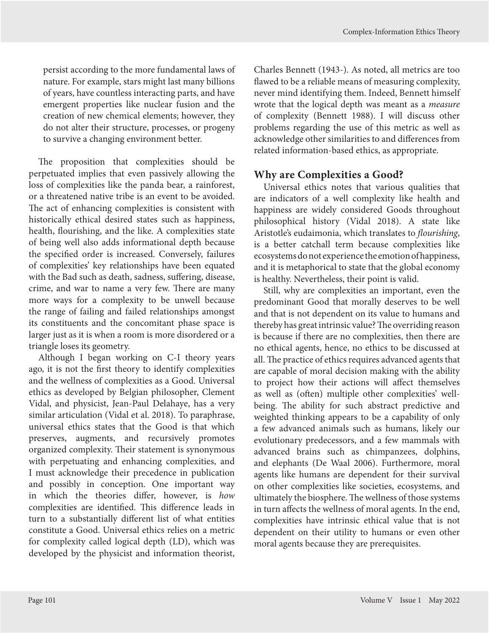persist according to the more fundamental laws of nature. For example, stars might last many billions of years, have countless interacting parts, and have emergent properties like nuclear fusion and the creation of new chemical elements; however, they do not alter their structure, processes, or progeny to survive a changing environment better.

The proposition that complexities should be perpetuated implies that even passively allowing the loss of complexities like the panda bear, a rainforest, or a threatened native tribe is an event to be avoided. The act of enhancing complexities is consistent with historically ethical desired states such as happiness, health, flourishing, and the like. A complexities state of being well also adds informational depth because the specified order is increased. Conversely, failures of complexities' key relationships have been equated with the Bad such as death, sadness, suffering, disease, crime, and war to name a very few. There are many more ways for a complexity to be unwell because the range of failing and failed relationships amongst its constituents and the concomitant phase space is larger just as it is when a room is more disordered or a triangle loses its geometry.

Although I began working on C-I theory years ago, it is not the first theory to identify complexities and the wellness of complexities as a Good. Universal ethics as developed by Belgian philosopher, Clement Vidal, and physicist, Jean-Paul Delahaye, has a very similar articulation (Vidal et al. 2018). To paraphrase, universal ethics states that the Good is that which preserves, augments, and recursively promotes organized complexity. Their statement is synonymous with perpetuating and enhancing complexities, and I must acknowledge their precedence in publication and possibly in conception. One important way in which the theories differ, however, is *how* complexities are identified. This difference leads in turn to a substantially different list of what entities constitute a Good. Universal ethics relies on a metric for complexity called logical depth (LD), which was developed by the physicist and information theorist,

Charles Bennett (1943-). As noted, all metrics are too flawed to be a reliable means of measuring complexity, never mind identifying them. Indeed, Bennett himself wrote that the logical depth was meant as a *measure* of complexity (Bennett 1988). I will discuss other problems regarding the use of this metric as well as acknowledge other similarities to and differences from related information-based ethics, as appropriate.

## **Why are Complexities a Good?**

Universal ethics notes that various qualities that are indicators of a well complexity like health and happiness are widely considered Goods throughout philosophical history (Vidal 2018). A state like Aristotle's eudaimonia, which translates to *flourishing*, is a better catchall term because complexities like ecosystems do not experience the emotion of happiness, and it is metaphorical to state that the global economy is healthy. Nevertheless, their point is valid.

Still, why are complexities an important, even the predominant Good that morally deserves to be well and that is not dependent on its value to humans and thereby has great intrinsic value? The overriding reason is because if there are no complexities, then there are no ethical agents, hence, no ethics to be discussed at all. The practice of ethics requires advanced agents that are capable of moral decision making with the ability to project how their actions will affect themselves as well as (often) multiple other complexities' wellbeing. The ability for such abstract predictive and weighted thinking appears to be a capability of only a few advanced animals such as humans, likely our evolutionary predecessors, and a few mammals with advanced brains such as chimpanzees, dolphins, and elephants (De Waal 2006). Furthermore, moral agents like humans are dependent for their survival on other complexities like societies, ecosystems, and ultimately the biosphere. The wellness of those systems in turn affects the wellness of moral agents. In the end, complexities have intrinsic ethical value that is not dependent on their utility to humans or even other moral agents because they are prerequisites.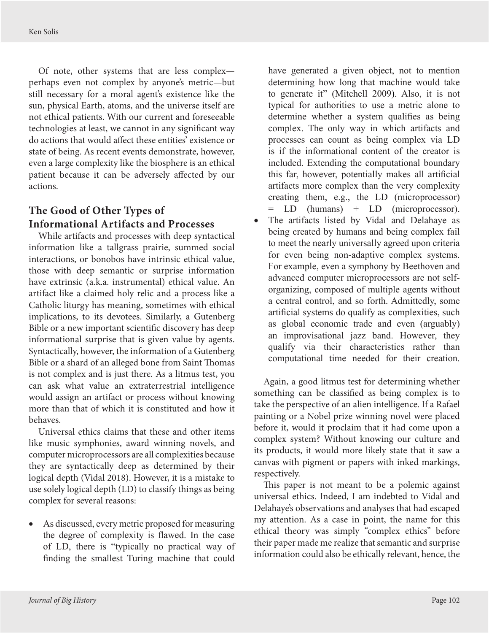Of note, other systems that are less complex perhaps even not complex by anyone's metric—but still necessary for a moral agent's existence like the sun, physical Earth, atoms, and the universe itself are not ethical patients. With our current and foreseeable technologies at least, we cannot in any significant way do actions that would affect these entities' existence or state of being. As recent events demonstrate, however, even a large complexity like the biosphere is an ethical patient because it can be adversely affected by our actions.

## **The Good of Other Types of Informational Artifacts and Processes**

While artifacts and processes with deep syntactical information like a tallgrass prairie, summed social interactions, or bonobos have intrinsic ethical value, those with deep semantic or surprise information have extrinsic (a.k.a. instrumental) ethical value. An artifact like a claimed holy relic and a process like a Catholic liturgy has meaning, sometimes with ethical implications, to its devotees. Similarly, a Gutenberg Bible or a new important scientific discovery has deep informational surprise that is given value by agents. Syntactically, however, the information of a Gutenberg Bible or a shard of an alleged bone from Saint Thomas is not complex and is just there. As a litmus test, you can ask what value an extraterrestrial intelligence would assign an artifact or process without knowing more than that of which it is constituted and how it behaves.

Universal ethics claims that these and other items like music symphonies, award winning novels, and computer microprocessors are all complexities because they are syntactically deep as determined by their logical depth (Vidal 2018). However, it is a mistake to use solely logical depth (LD) to classify things as being complex for several reasons:

As discussed, every metric proposed for measuring the degree of complexity is flawed. In the case of LD, there is "typically no practical way of finding the smallest Turing machine that could have generated a given object, not to mention determining how long that machine would take to generate it" (Mitchell 2009). Also, it is not typical for authorities to use a metric alone to determine whether a system qualifies as being complex. The only way in which artifacts and processes can count as being complex via LD is if the informational content of the creator is included. Extending the computational boundary this far, however, potentially makes all artificial artifacts more complex than the very complexity creating them, e.g., the LD (microprocessor) = LD (humans) + LD (microprocessor).

The artifacts listed by Vidal and Delahaye as being created by humans and being complex fail to meet the nearly universally agreed upon criteria for even being non-adaptive complex systems. For example, even a symphony by Beethoven and advanced computer microprocessors are not selforganizing, composed of multiple agents without a central control, and so forth. Admittedly, some artificial systems do qualify as complexities, such as global economic trade and even (arguably) an improvisational jazz band. However, they qualify via their characteristics rather than computational time needed for their creation.

Again, a good litmus test for determining whether something can be classified as being complex is to take the perspective of an alien intelligence. If a Rafael painting or a Nobel prize winning novel were placed before it, would it proclaim that it had come upon a complex system? Without knowing our culture and its products, it would more likely state that it saw a canvas with pigment or papers with inked markings, respectively.

This paper is not meant to be a polemic against universal ethics. Indeed, I am indebted to Vidal and Delahaye's observations and analyses that had escaped my attention. As a case in point, the name for this ethical theory was simply "complex ethics" before their paper made me realize that semantic and surprise information could also be ethically relevant, hence, the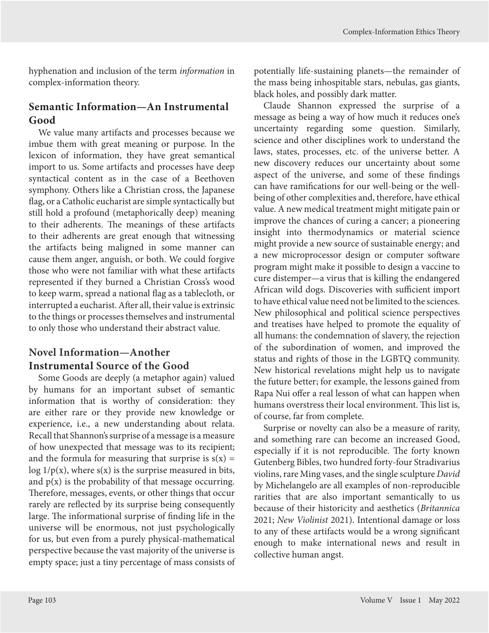hyphenation and inclusion of the term *information* in complex-information theory.

## **Semantic Information—An Instrumental Good**

We value many artifacts and processes because we imbue them with great meaning or purpose. In the lexicon of information, they have great semantical import to us. Some artifacts and processes have deep syntactical content as in the case of a Beethoven symphony. Others like a Christian cross, the Japanese flag, or a Catholic eucharist are simple syntactically but still hold a profound (metaphorically deep) meaning to their adherents. The meanings of these artifacts to their adherents are great enough that witnessing the artifacts being maligned in some manner can cause them anger, anguish, or both. We could forgive those who were not familiar with what these artifacts represented if they burned a Christian Cross's wood to keep warm, spread a national flag as a tablecloth, or interrupted a eucharist. After all, their value is extrinsic to the things or processes themselves and instrumental to only those who understand their abstract value.

## **Novel Information—Another Instrumental Source of the Good**

Some Goods are deeply (a metaphor again) valued by humans for an important subset of semantic information that is worthy of consideration: they are either rare or they provide new knowledge or experience, i.e., a new understanding about relata. Recall that Shannon's surprise of a message is a measure of how unexpected that message was to its recipient; and the formula for measuring that surprise is  $s(x) =$ log  $1/p(x)$ , where  $s(x)$  is the surprise measured in bits, and  $p(x)$  is the probability of that message occurring. Therefore, messages, events, or other things that occur rarely are reflected by its surprise being consequently large. The informational surprise of finding life in the universe will be enormous, not just psychologically for us, but even from a purely physical-mathematical perspective because the vast majority of the universe is empty space; just a tiny percentage of mass consists of potentially life-sustaining planets—the remainder of the mass being inhospitable stars, nebulas, gas giants, black holes, and possibly dark matter.

Claude Shannon expressed the surprise of a message as being a way of how much it reduces one's uncertainty regarding some question. Similarly, science and other disciplines work to understand the laws, states, processes, etc. of the universe better. A new discovery reduces our uncertainty about some aspect of the universe, and some of these findings can have ramifications for our well-being or the wellbeing of other complexities and, therefore, have ethical value. A new medical treatment might mitigate pain or improve the chances of curing a cancer; a pioneering insight into thermodynamics or material science might provide a new source of sustainable energy; and a new microprocessor design or computer software program might make it possible to design a vaccine to cure distemper—a virus that is killing the endangered African wild dogs. Discoveries with sufficient import to have ethical value need not be limited to the sciences. New philosophical and political science perspectives and treatises have helped to promote the equality of all humans: the condemnation of slavery, the rejection of the subordination of women, and improved the status and rights of those in the LGBTQ community. New historical revelations might help us to navigate the future better; for example, the lessons gained from Rapa Nui offer a real lesson of what can happen when humans overstress their local environment. This list is, of course, far from complete.

Surprise or novelty can also be a measure of rarity, and something rare can become an increased Good, especially if it is not reproducible. The forty known Gutenberg Bibles, two hundred forty-four Stradivarius violins, rare Ming vases, and the single sculpture *David* by Michelangelo are all examples of non-reproducible rarities that are also important semantically to us because of their historicity and aesthetics (*Britannica* 2021; *New Violinist* 2021). Intentional damage or loss to any of these artifacts would be a wrong significant enough to make international news and result in collective human angst.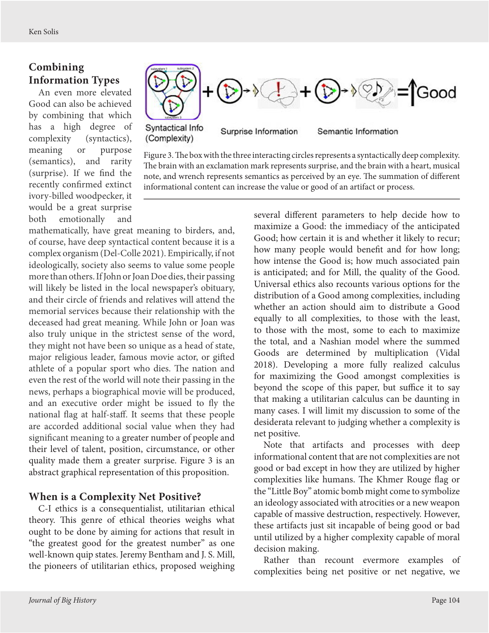# **Combining Information Types**

An even more elevated Good can also be achieved by combining that which has a high degree of complexity (syntactics), meaning or purpose (semantics), and rarity (surprise). If we find the recently confirmed extinct ivory-billed woodpecker, it would be a great surprise both emotionally and



Figure 3. The box with the three interacting circles represents a syntactically deep complexity. The brain with an exclamation mark represents surprise, and the brain with a heart, musical note, and wrench represents semantics as perceived by an eye. The summation of different informational content can increase the value or good of an artifact or process.

mathematically, have great meaning to birders, and, of course, have deep syntactical content because it is a complex organism (Del-Colle 2021). Empirically, if not ideologically, society also seems to value some people more than others. If John or Joan Doe dies, their passing will likely be listed in the local newspaper's obituary, and their circle of friends and relatives will attend the memorial services because their relationship with the deceased had great meaning. While John or Joan was also truly unique in the strictest sense of the word, they might not have been so unique as a head of state, major religious leader, famous movie actor, or gifted athlete of a popular sport who dies. The nation and even the rest of the world will note their passing in the news, perhaps a biographical movie will be produced, and an executive order might be issued to fly the national flag at half-staff. It seems that these people are accorded additional social value when they had significant meaning to a greater number of people and their level of talent, position, circumstance, or other quality made them a greater surprise. Figure 3 is an abstract graphical representation of this proposition.

## **When is a Complexity Net Positive?**

C-I ethics is a consequentialist, utilitarian ethical theory. This genre of ethical theories weighs what ought to be done by aiming for actions that result in "the greatest good for the greatest number" as one well-known quip states. Jeremy Bentham and J. S. Mill, the pioneers of utilitarian ethics, proposed weighing several different parameters to help decide how to maximize a Good: the immediacy of the anticipated Good; how certain it is and whether it likely to recur; how many people would benefit and for how long; how intense the Good is; how much associated pain is anticipated; and for Mill, the quality of the Good. Universal ethics also recounts various options for the distribution of a Good among complexities, including whether an action should aim to distribute a Good equally to all complexities, to those with the least, to those with the most, some to each to maximize the total, and a Nashian model where the summed Goods are determined by multiplication (Vidal 2018). Developing a more fully realized calculus for maximizing the Good amongst complexities is beyond the scope of this paper, but suffice it to say that making a utilitarian calculus can be daunting in many cases. I will limit my discussion to some of the desiderata relevant to judging whether a complexity is net positive.

Note that artifacts and processes with deep informational content that are not complexities are not good or bad except in how they are utilized by higher complexities like humans. The Khmer Rouge flag or the "Little Boy" atomic bomb might come to symbolize an ideology associated with atrocities or a new weapon capable of massive destruction, respectively. However, these artifacts just sit incapable of being good or bad until utilized by a higher complexity capable of moral decision making.

Rather than recount evermore examples of complexities being net positive or net negative, we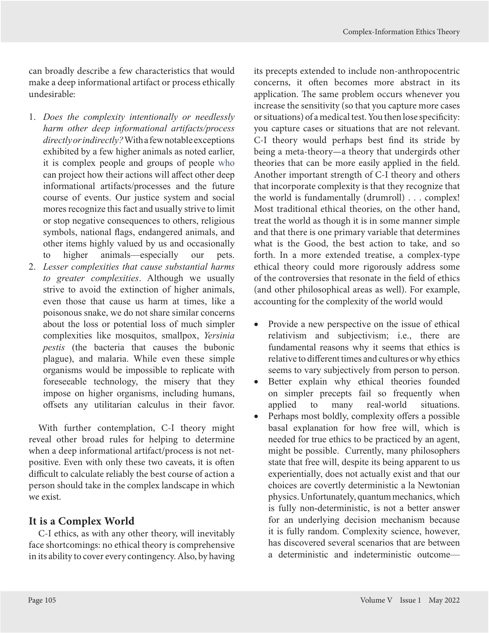can broadly describe a few characteristics that would make a deep informational artifact or process ethically undesirable:

- 1. *Does the complexity intentionally or needlessly harm other deep informational artifacts/process directly or indirectly?* With a few notable exceptions exhibited by a few higher animals as noted earlier, it is complex people and groups of people who can project how their actions will affect other deep informational artifacts/processes and the future course of events. Our justice system and social mores recognize this fact and usually strive to limit or stop negative consequences to others, religious symbols, national flags, endangered animals, and other items highly valued by us and occasionally to higher animals—especially our pets.
- 2. *Lesser complexities that cause substantial harms to greater complexities*. Although we usually strive to avoid the extinction of higher animals, even those that cause us harm at times, like a poisonous snake, we do not share similar concerns about the loss or potential loss of much simpler complexities like mosquitos, smallpox, *Yersinia pestis* (the bacteria that causes the bubonic plague), and malaria. While even these simple organisms would be impossible to replicate with foreseeable technology, the misery that they impose on higher organisms, including humans, offsets any utilitarian calculus in their favor.

With further contemplation, C-I theory might reveal other broad rules for helping to determine when a deep informational artifact/process is not netpositive. Even with only these two caveats, it is often difficult to calculate reliably the best course of action a person should take in the complex landscape in which we exist.

## **It is a Complex World**

C-I ethics, as with any other theory, will inevitably face shortcomings: no ethical theory is comprehensive in its ability to cover every contingency. Also, by having its precepts extended to include non-anthropocentric concerns, it often becomes more abstract in its application. The same problem occurs whenever you increase the sensitivity (so that you capture more cases or situations) of a medical test. You then lose specificity: you capture cases or situations that are not relevant. C-I theory would perhaps best find its stride by being a meta-theory—a theory that undergirds other theories that can be more easily applied in the field. Another important strength of C-I theory and others that incorporate complexity is that they recognize that the world is fundamentally (drumroll) . . . complex! Most traditional ethical theories, on the other hand, treat the world as though it is in some manner simple and that there is one primary variable that determines what is the Good, the best action to take, and so forth. In a more extended treatise, a complex-type ethical theory could more rigorously address some of the controversies that resonate in the field of ethics (and other philosophical areas as well). For example, accounting for the complexity of the world would

- Provide a new perspective on the issue of ethical relativism and subjectivism; i.e., there are fundamental reasons why it seems that ethics is relative to different times and cultures or why ethics seems to vary subjectively from person to person.
- Better explain why ethical theories founded on simpler precepts fail so frequently when applied to many real-world situations.
- Perhaps most boldly, complexity offers a possible basal explanation for how free will, which is needed for true ethics to be practiced by an agent, might be possible. Currently, many philosophers state that free will, despite its being apparent to us experientially, does not actually exist and that our choices are covertly deterministic a la Newtonian physics. Unfortunately, quantum mechanics, which is fully non-deterministic, is not a better answer for an underlying decision mechanism because it is fully random. Complexity science, however, has discovered several scenarios that are between a deterministic and indeterministic outcome—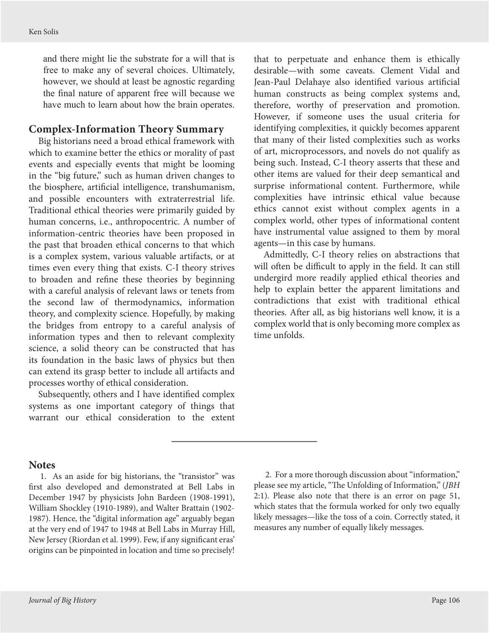<span id="page-14-0"></span>and there might lie the substrate for a will that is free to make any of several choices. Ultimately, however, we should at least be agnostic regarding the final nature of apparent free will because we have much to learn about how the brain operates.

#### **Complex-Information Theory Summary**

Big historians need a broad ethical framework with which to examine better the ethics or morality of past events and especially events that might be looming in the "big future," such as human driven changes to the biosphere, artificial intelligence, transhumanism, and possible encounters with extraterrestrial life. Traditional ethical theories were primarily guided by human concerns, i.e., anthropocentric. A number of information-centric theories have been proposed in the past that broaden ethical concerns to that which is a complex system, various valuable artifacts, or at times even every thing that exists. C-I theory strives to broaden and refine these theories by beginning with a careful analysis of relevant laws or tenets from the second law of thermodynamics, information theory, and complexity science. Hopefully, by making the bridges from entropy to a careful analysis of information types and then to relevant complexity science, a solid theory can be constructed that has its foundation in the basic laws of physics but then can extend its grasp better to include all artifacts and processes worthy of ethical consideration.

Subsequently, others and I have identified complex systems as one important category of things that warrant our ethical consideration to the extent

that to perpetuate and enhance them is ethically desirable—with some caveats. Clement Vidal and Jean-Paul Delahaye also identified various artificial human constructs as being complex systems and, therefore, worthy of preservation and promotion. However, if someone uses the usual criteria for identifying complexities, it quickly becomes apparent that many of their listed complexities such as works of art, microprocessors, and novels do not qualify as being such. Instead, C-I theory asserts that these and other items are valued for their deep semantical and surprise informational content. Furthermore, while complexities have intrinsic ethical value because ethics cannot exist without complex agents in a complex world, other types of informational content have instrumental value assigned to them by moral agents—in this case by humans.

Admittedly, C-I theory relies on abstractions that will often be difficult to apply in the field. It can still undergird more readily applied ethical theories and help to explain better the apparent limitations and contradictions that exist with traditional ethical theories. After all, as big historians well know, it is a complex world that is only becoming more complex as time unfolds.

#### **Notes**

[1.](#page-5-0) As an aside for big historians, the "transistor" was first also developed and demonstrated at Bell Labs in December 1947 by physicists John Bardeen (1908-1991), William Shockley (1910-1989), and Walter Brattain (1902- 1987). Hence, the "digital information age" arguably began at the very end of 1947 to 1948 at Bell Labs in Murray Hill, New Jersey (Riordan et al. 1999). Few, if any significant eras' origins can be pinpointed in location and time so precisely!

[2.](#page-5-0) For a more thorough discussion about "information," please see my article, "The Unfolding of Information," (*JBH* 2:1). Please also note that there is an error on page 51, which states that the formula worked for only two equally likely messages—like the toss of a coin. Correctly stated, it measures any number of equally likely messages.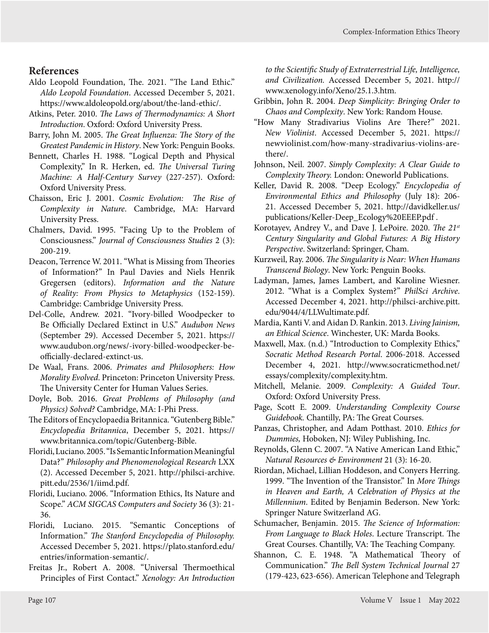## **References**

- Aldo Leopold Foundation, The. 2021. "The Land Ethic." *Aldo Leopold Foundation*. Accessed December 5, 2021. <https://www.aldoleopold.org/about/the-land-ethic/>.
- Atkins, Peter. 2010. *The Laws of Thermodynamics: A Short Introduction*. Oxford: Oxford University Press.
- Barry, John M. 2005. *The Great Influenza: The Story of the Greatest Pandemic in History*. New York: Penguin Books.
- Bennett, Charles H. 1988. "Logical Depth and Physical Complexity," In R. Herken, ed. *The Universal Turing Machine: A Half-Century Survey* (227-257). Oxford: Oxford University Press.
- Chaisson, Eric J. 2001. *Cosmic Evolution: The Rise of Complexity in Nature*. Cambridge, MA: Harvard University Press.
- Chalmers, David. 1995. "Facing Up to the Problem of Consciousness." *Journal of Consciousness Studies* 2 (3): 200-219.
- Deacon, Terrence W. 2011. "What is Missing from Theories of Information?" In Paul Davies and Niels Henrik Gregersen (editors). *Information and the Nature of Reality: From Physics to Metaphysics* (152-159). Cambridge: Cambridge University Press.
- Del-Colle, Andrew. 2021. "Ivory-billed Woodpecker to Be Officially Declared Extinct in U.S." *Audubon News* (September 29). Accessed December 5, 2021. [https://](https://www.audubon.org/news/-ivory-billed-woodpecker-be-officially-declared-extinct-us) [www.audubon.org/news/-ivory-billed-woodpecker-be](https://www.audubon.org/news/-ivory-billed-woodpecker-be-officially-declared-extinct-us)[officially-declared-extinct-us.](https://www.audubon.org/news/-ivory-billed-woodpecker-be-officially-declared-extinct-us)
- De Waal, Frans. 2006. *Primates and Philosophers: How Morality Evolved*. Princeton: Princeton University Press. The University Center for Human Values Series.
- Doyle, Bob. 2016. *Great Problems of Philosophy (and Physics) Solved?* Cambridge, MA: I-Phi Press.
- The Editors of Encyclopaedia Britannica. "Gutenberg Bible." *Encyclopedia Britannica*, December 5, 2021. https:// www.britannica.com/topic/Gutenberg-Bible.
- Floridi, Luciano. 2005. "Is Semantic Information Meaningful Data?" *Philosophy and Phenomenological Research* LXX (2). Accessed December 5, 2021. [http://philsci-archive.](http://philsci-archive.pitt.edu/2536/1/iimd.pdf) [pitt.edu/2536/1/iimd.pdf.](http://philsci-archive.pitt.edu/2536/1/iimd.pdf)
- Floridi, Luciano. 2006. "Information Ethics, Its Nature and Scope." *ACM SIGCAS Computers and Society* 36 (3): 21- 36.
- Floridi, Luciano. 2015. "Semantic Conceptions of Information." *The Stanford Encyclopedia of Philosophy.* Accessed December 5, 2021. [https://plato.stanford.edu/](https://plato.stanford.edu/entries/information-semantic/) [entries/information-semantic/.](https://plato.stanford.edu/entries/information-semantic/)
- Freitas Jr., Robert A. 2008. "Universal Thermoethical Principles of First Contact." *Xenology: An Introduction*

*to the Scientific Study of Extraterrestrial Life, Intelligence, and Civilization.* Accessed December 5, 2021. [http://](http://www.xenology.info/Xeno/25.1.3.htm) [www.xenology.info/Xeno/25.1.3.htm.](http://www.xenology.info/Xeno/25.1.3.htm)

- Gribbin, John R. 2004. *Deep Simplicity: Bringing Order to Chaos and Complexity*. New York: Random House.
- "How Many Stradivarius Violins Are There?" 2021. *New Violinist*. Accessed December 5, 2021. [https://](https://newviolinist.com/how-many-stradivarius-violins-are-there/) [newviolinist.com/how-many-stradivarius-violins-are](https://newviolinist.com/how-many-stradivarius-violins-are-there/)[there/.](https://newviolinist.com/how-many-stradivarius-violins-are-there/)
- Johnson, Neil. 2007. *Simply Complexity: A Clear Guide to Complexity Theory.* London: Oneworld Publications.
- Keller, David R. 2008. "Deep Ecology." *Encyclopedia of Environmental Ethics and Philosophy* (July 18): 206- 21. Accessed December 5, 2021. [http://davidkeller.us/](http://davidkeller.us/publications/Keller-Deep_Ecology%20EEEP.pdf) [publications/Keller-Deep\\_Ecology%20EEEP.pdf](http://davidkeller.us/publications/Keller-Deep_Ecology%20EEEP.pdf) .
- Korotayev, Andrey V., and Dave J. LePoire. 2020. *The 21st Century Singularity and Global Futures: A Big History Perspective*. Switzerland: Springer, Cham.
- Kurzweil, Ray. 2006. *The Singularity is Near: When Humans Transcend Biology*. New York: Penguin Books.
- Ladyman, James, James Lambert, and Karoline Wiesner. 2012. "What is a Complex System?" *PhilSci Archive*. Accessed December 4, 2021. http://philsci-archive.pitt. edu/9044/4/LLWultimate.pdf.
- Mardia, Kanti V. and Aidan D. Rankin. 2013. *Living Jainism, an Ethical Science*. Winchester, UK: Marda Books.
- Maxwell, Max. (n.d.) "Introduction to Complexity Ethics," *Socratic Method Research Portal*. 2006-2018. Accessed December 4, 2021. [http://www.socraticmethod.net/](http://www.socraticmethod.net/essays/complexity/complexity.htm) [essays/complexity/complexity.htm.](http://www.socraticmethod.net/essays/complexity/complexity.htm)
- Mitchell, Melanie. 2009. *Complexity: A Guided Tour*. Oxford: Oxford University Press.
- Page, Scott E. 2009. *Understanding Complexity Course Guidebook.* Chantilly, PA: The Great Courses.
- Panzas, Christopher, and Adam Potthast. 2010. *Ethics for Dummies,* Hoboken, NJ: Wiley Publishing, Inc.
- Reynolds, Glenn C. 2007. "A Native American Land Ethic," *Natural Resources & Environment* 21 (3): 16-20.
- Riordan, Michael, Lillian Hoddeson, and Conyers Herring. 1999. "The Invention of the Transistor." In *More Things in Heaven and Earth, A Celebration of Physics at the Millennium*. Edited by Benjamin Bederson. New York: Springer Nature Switzerland AG.
- Schumacher, Benjamin. 2015. *The Science of Information: From Language to Black Holes*. Lecture Transcript. The Great Courses. Chantilly, VA: The Teaching Company.
- Shannon, C. E. 1948. "A Mathematical Theory of Communication." *The Bell System Technical Journal* 27 (179-423, 623-656). American Telephone and Telegraph